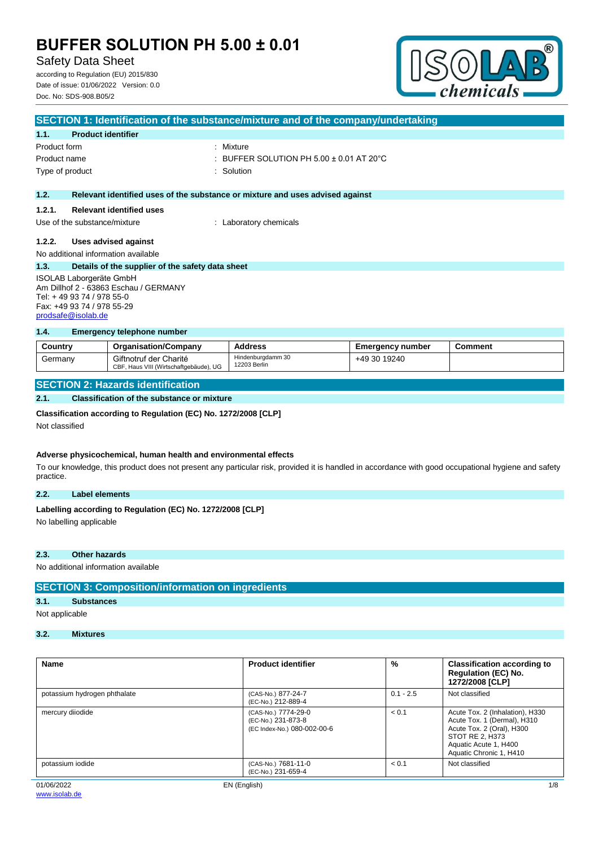Safety Data Sheet

according to Regulation (EU) 2015/830 Date of issue: 01/06/2022 Version: 0.0 Doc. No: SDS-908.B05/2



| SECTION 1: Identification of the substance/mixture and of the company/undertaking |                                                  |                                                                               |  |
|-----------------------------------------------------------------------------------|--------------------------------------------------|-------------------------------------------------------------------------------|--|
| 1.1.                                                                              | <b>Product identifier</b>                        |                                                                               |  |
| Product form                                                                      |                                                  | : Mixture                                                                     |  |
| Product name                                                                      |                                                  | : BUFFER SOLUTION PH 5.00 $\pm$ 0.01 AT 20 $^{\circ}$ C                       |  |
|                                                                                   | Type of product                                  | : Solution                                                                    |  |
|                                                                                   |                                                  |                                                                               |  |
| 1.2.                                                                              |                                                  | Relevant identified uses of the substance or mixture and uses advised against |  |
| 1.2.1.                                                                            | <b>Relevant identified uses</b>                  |                                                                               |  |
|                                                                                   | Use of the substance/mixture                     | : Laboratory chemicals                                                        |  |
| 1.2.2.                                                                            | Uses advised against                             |                                                                               |  |
|                                                                                   | No additional information available              |                                                                               |  |
|                                                                                   |                                                  |                                                                               |  |
| 1.3.                                                                              | Details of the supplier of the safety data sheet |                                                                               |  |
| ISOLAB Laborgeräte GmbH                                                           |                                                  |                                                                               |  |
| Am Dillhof 2 - 63863 Eschau / GERMANY                                             |                                                  |                                                                               |  |
| Tel: +49 93 74 / 978 55-0                                                         |                                                  |                                                                               |  |
| Fax: +49 93 74 / 978 55-29                                                        |                                                  |                                                                               |  |

#### **1.4. Emergency telephone number**

| Country | <b>Organisation/Company</b>                                      | <b>Address</b>                    | Emergency number | Comment |
|---------|------------------------------------------------------------------|-----------------------------------|------------------|---------|
| Germany | Giftnotruf der Charité<br>CBF, Haus VIII (Wirtschaftgebäude), UG | Hindenburgdamm 30<br>12203 Berlin | +49 30 19240     |         |

### **SECTION 2: Hazards identification**

#### **2.1. Classification of the substance or mixture**

#### **Classification according to Regulation (EC) No. 1272/2008 [CLP]**

Not classified

[prodsafe@isolab.de](mailto:prodsafe@isolab.de)

#### **Adverse physicochemical, human health and environmental effects**

To our knowledge, this product does not present any particular risk, provided it is handled in accordance with good occupational hygiene and safety practice.

#### **2.2. Label elements**

# Labelling according to Regulation (EC) No. 1272/2008 [CLP]

No labelling applicable

#### **2.3. Other hazards**

No additional information available

### **SECTION 3: Composition/information on ingredients**

## **3.1. Substances**

Not applicable

## **3.2. Mixtures**

| <b>Name</b>                  | <b>Product identifier</b>                                                | %           | <b>Classification according to</b><br><b>Regulation (EC) No.</b><br>1272/2008 [CLP]                                                                                |
|------------------------------|--------------------------------------------------------------------------|-------------|--------------------------------------------------------------------------------------------------------------------------------------------------------------------|
| potassium hydrogen phthalate | (CAS-No.) 877-24-7<br>(EC-No.) 212-889-4                                 | $0.1 - 2.5$ | Not classified                                                                                                                                                     |
| mercury diiodide             | (CAS-No.) 7774-29-0<br>(EC-No.) 231-873-8<br>(EC Index-No.) 080-002-00-6 | < 0.1       | Acute Tox. 2 (Inhalation), H330<br>Acute Tox. 1 (Dermal), H310<br>Acute Tox. 2 (Oral), H300<br>STOT RE 2, H373<br>Aquatic Acute 1, H400<br>Aquatic Chronic 1, H410 |
| potassium iodide             | (CAS-No.) 7681-11-0<br>(EC-No.) 231-659-4                                | < 0.1       | Not classified                                                                                                                                                     |
| 01/06/2022                   | EN (English)                                                             |             | 1/8                                                                                                                                                                |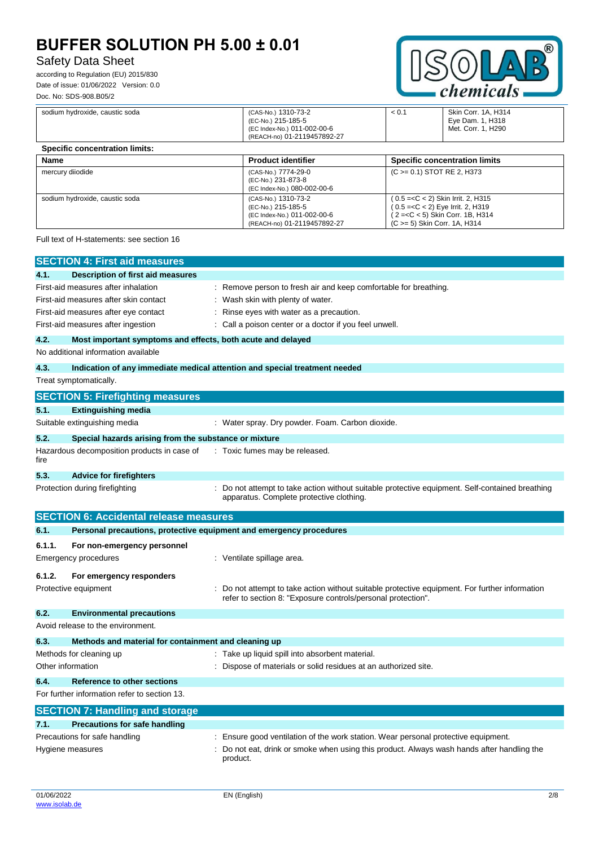# Safety Data Sheet

according to Regulation (EU) 2015/830 Date of issue: 01/06/2022 Version: 0.0 Doc. No: SDS-908.B05/2



| sodium hydroxide, caustic soda        | (CAS-No.) 1310-73-2<br>(EC-No.) 215-185-5<br>(EC Index-No.) 011-002-00-6<br>(REACH-no) 01-2119457892-27 | < 0.1 | Skin Corr. 1A, H314<br>Eye Dam. 1, H318<br>Met. Corr. 1, H290                                                                                                                                                   |  |
|---------------------------------------|---------------------------------------------------------------------------------------------------------|-------|-----------------------------------------------------------------------------------------------------------------------------------------------------------------------------------------------------------------|--|
| <b>Specific concentration limits:</b> |                                                                                                         |       |                                                                                                                                                                                                                 |  |
| Name                                  | <b>Product identifier</b>                                                                               |       | <b>Specific concentration limits</b>                                                                                                                                                                            |  |
| mercury diiodide                      | (CAS-No.) 7774-29-0<br>(EC-No.) 231-873-8<br>(EC Index-No.) 080-002-00-6                                |       | (C > = 0.1) STOT RE 2, H373                                                                                                                                                                                     |  |
| sodium hydroxide, caustic soda        | (CAS-No.) 1310-73-2<br>(EC-No.) 215-185-5<br>(EC Index-No.) 011-002-00-6<br>(REACH-no) 01-2119457892-27 |       | ( 0.5 = <c 2)="" 2,="" <="" h315<br="" irrit.="" skin="">(0.5 =<c 2)="" 2,="" <="" eye="" h319<br="" irrit.="">(2=<c 1b,="" 5)="" <="" corr.="" h314<br="" skin="">(C &gt; = 5) Skin Corr. 1A, H314</c></c></c> |  |

Full text of H-statements: see section 16

|                   | <b>SECTION 4: First aid measures</b>                                |                                                                                                                                                              |
|-------------------|---------------------------------------------------------------------|--------------------------------------------------------------------------------------------------------------------------------------------------------------|
| 4.1.              | <b>Description of first aid measures</b>                            |                                                                                                                                                              |
|                   | First-aid measures after inhalation                                 | : Remove person to fresh air and keep comfortable for breathing.                                                                                             |
|                   | First-aid measures after skin contact                               | : Wash skin with plenty of water.                                                                                                                            |
|                   | First-aid measures after eye contact                                | ÷<br>Rinse eyes with water as a precaution.                                                                                                                  |
|                   | First-aid measures after ingestion                                  | : Call a poison center or a doctor if you feel unwell.                                                                                                       |
| 4.2.              | Most important symptoms and effects, both acute and delayed         |                                                                                                                                                              |
|                   | No additional information available                                 |                                                                                                                                                              |
| 4.3.              |                                                                     | Indication of any immediate medical attention and special treatment needed                                                                                   |
|                   | Treat symptomatically.                                              |                                                                                                                                                              |
|                   | <b>SECTION 5: Firefighting measures</b>                             |                                                                                                                                                              |
| 5.1.              | <b>Extinguishing media</b>                                          |                                                                                                                                                              |
|                   | Suitable extinguishing media                                        | : Water spray. Dry powder. Foam. Carbon dioxide.                                                                                                             |
| 5.2.              | Special hazards arising from the substance or mixture               |                                                                                                                                                              |
| fire              | Hazardous decomposition products in case of                         | : Toxic fumes may be released.                                                                                                                               |
| 5.3.              | <b>Advice for firefighters</b>                                      |                                                                                                                                                              |
|                   | Protection during firefighting                                      | : Do not attempt to take action without suitable protective equipment. Self-contained breathing<br>apparatus. Complete protective clothing.                  |
|                   | <b>SECTION 6: Accidental release measures</b>                       |                                                                                                                                                              |
| 6.1.              | Personal precautions, protective equipment and emergency procedures |                                                                                                                                                              |
|                   |                                                                     |                                                                                                                                                              |
| 6.1.1.            |                                                                     |                                                                                                                                                              |
|                   | For non-emergency personnel<br><b>Emergency procedures</b>          | : Ventilate spillage area.                                                                                                                                   |
| 6.1.2.            |                                                                     |                                                                                                                                                              |
|                   | For emergency responders<br>Protective equipment                    | Do not attempt to take action without suitable protective equipment. For further information<br>refer to section 8: "Exposure controls/personal protection". |
| 6.2.              | <b>Environmental precautions</b>                                    |                                                                                                                                                              |
|                   | Avoid release to the environment.                                   |                                                                                                                                                              |
| 6.3.              | Methods and material for containment and cleaning up                |                                                                                                                                                              |
|                   | Methods for cleaning up                                             | : Take up liquid spill into absorbent material.                                                                                                              |
| Other information |                                                                     | Dispose of materials or solid residues at an authorized site.                                                                                                |
| 6.4.              | <b>Reference to other sections</b>                                  |                                                                                                                                                              |
|                   | For further information refer to section 13.                        |                                                                                                                                                              |
|                   | <b>SECTION 7: Handling and storage</b>                              |                                                                                                                                                              |
| 7.1.              | <b>Precautions for safe handling</b>                                |                                                                                                                                                              |
|                   | Precautions for safe handling                                       | : Ensure good ventilation of the work station. Wear personal protective equipment.                                                                           |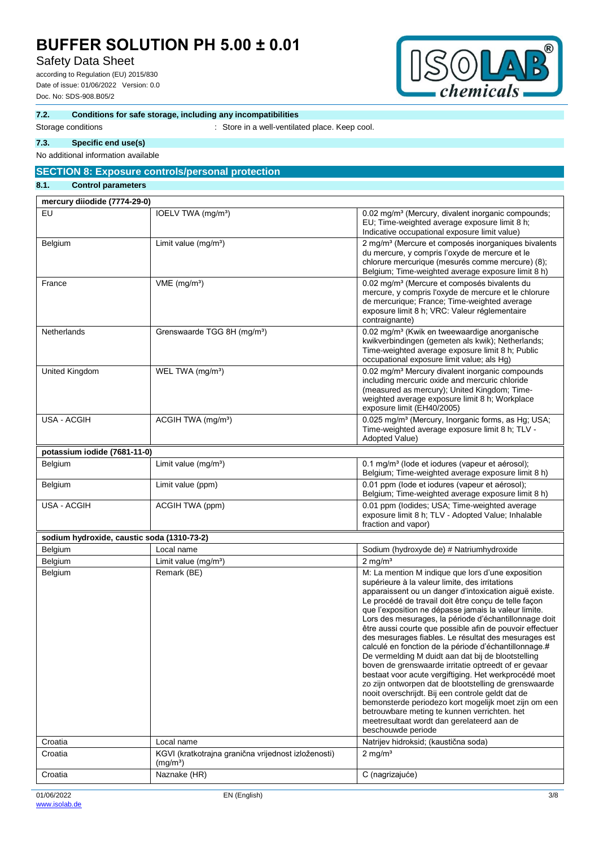# Safety Data Sheet

according to Regulation (EU) 2015/830 Date of issue: 01/06/2022 Version: 0.0 Doc. No: SDS-908.B05/2



#### **7.2. Conditions for safe storage, including any incompatibilities**

Storage conditions **Storage conditions** : Store in a well-ventilated place. Keep cool.

#### **7.3. Specific end use(s)**

No additional information available

## **SECTION 8: Exposure controls/personal protection**

## **8.1. Control parameters**

| mercury diiodide (7774-29-0)               |                                                                   |                                                                                                                                                                                                                                                                                                                                                                                                                                                                                                                                                                                                                                                                                                                                                                                                                                                                                                                                                                                      |
|--------------------------------------------|-------------------------------------------------------------------|--------------------------------------------------------------------------------------------------------------------------------------------------------------------------------------------------------------------------------------------------------------------------------------------------------------------------------------------------------------------------------------------------------------------------------------------------------------------------------------------------------------------------------------------------------------------------------------------------------------------------------------------------------------------------------------------------------------------------------------------------------------------------------------------------------------------------------------------------------------------------------------------------------------------------------------------------------------------------------------|
| EU                                         | IOELV TWA (mg/m <sup>3</sup> )                                    | 0.02 mg/m <sup>3</sup> (Mercury, divalent inorganic compounds;<br>EU; Time-weighted average exposure limit 8 h;<br>Indicative occupational exposure limit value)                                                                                                                                                                                                                                                                                                                                                                                                                                                                                                                                                                                                                                                                                                                                                                                                                     |
| Belgium                                    | Limit value $(mg/m3)$                                             | 2 mg/m <sup>3</sup> (Mercure et composés inorganiques bivalents<br>du mercure, y compris l'oxyde de mercure et le<br>chlorure mercurique (mesurés comme mercure) (8);<br>Belgium; Time-weighted average exposure limit 8 h)                                                                                                                                                                                                                                                                                                                                                                                                                                                                                                                                                                                                                                                                                                                                                          |
| France                                     | $VME$ (mg/m <sup>3</sup> )                                        | 0.02 mg/m <sup>3</sup> (Mercure et composés bivalents du<br>mercure, y compris l'oxyde de mercure et le chlorure<br>de mercurique; France; Time-weighted average<br>exposure limit 8 h; VRC: Valeur réglementaire<br>contraignante)                                                                                                                                                                                                                                                                                                                                                                                                                                                                                                                                                                                                                                                                                                                                                  |
| Netherlands                                | Grenswaarde TGG 8H (mg/m <sup>3</sup> )                           | 0.02 mg/m <sup>3</sup> (Kwik en tweewaardige anorganische<br>kwikverbindingen (gemeten als kwik); Netherlands;<br>Time-weighted average exposure limit 8 h; Public<br>occupational exposure limit value; als Hg)                                                                                                                                                                                                                                                                                                                                                                                                                                                                                                                                                                                                                                                                                                                                                                     |
| United Kingdom                             | WEL TWA (mg/m <sup>3</sup> )                                      | 0.02 mg/m <sup>3</sup> Mercury divalent inorganic compounds<br>including mercuric oxide and mercuric chloride<br>(measured as mercury); United Kingdom; Time-<br>weighted average exposure limit 8 h; Workplace<br>exposure limit (EH40/2005)                                                                                                                                                                                                                                                                                                                                                                                                                                                                                                                                                                                                                                                                                                                                        |
| <b>USA - ACGIH</b>                         | ACGIH TWA (mg/m <sup>3</sup> )                                    | 0.025 mg/m <sup>3</sup> (Mercury, Inorganic forms, as Hg; USA;<br>Time-weighted average exposure limit 8 h; TLV -<br>Adopted Value)                                                                                                                                                                                                                                                                                                                                                                                                                                                                                                                                                                                                                                                                                                                                                                                                                                                  |
| potassium iodide (7681-11-0)               |                                                                   |                                                                                                                                                                                                                                                                                                                                                                                                                                                                                                                                                                                                                                                                                                                                                                                                                                                                                                                                                                                      |
| Belgium                                    | Limit value $(mg/m3)$                                             | 0.1 mg/m <sup>3</sup> (lode et iodures (vapeur et aérosol);<br>Belgium; Time-weighted average exposure limit 8 h)                                                                                                                                                                                                                                                                                                                                                                                                                                                                                                                                                                                                                                                                                                                                                                                                                                                                    |
| Belgium                                    | Limit value (ppm)                                                 | 0.01 ppm (lode et iodures (vapeur et aérosol);<br>Belgium; Time-weighted average exposure limit 8 h)                                                                                                                                                                                                                                                                                                                                                                                                                                                                                                                                                                                                                                                                                                                                                                                                                                                                                 |
| <b>USA - ACGIH</b>                         | ACGIH TWA (ppm)                                                   | 0.01 ppm (lodides; USA; Time-weighted average<br>exposure limit 8 h; TLV - Adopted Value; Inhalable<br>fraction and vapor)                                                                                                                                                                                                                                                                                                                                                                                                                                                                                                                                                                                                                                                                                                                                                                                                                                                           |
| sodium hydroxide, caustic soda (1310-73-2) |                                                                   |                                                                                                                                                                                                                                                                                                                                                                                                                                                                                                                                                                                                                                                                                                                                                                                                                                                                                                                                                                                      |
| Belgium                                    | Local name                                                        | Sodium (hydroxyde de) # Natriumhydroxide                                                                                                                                                                                                                                                                                                                                                                                                                                                                                                                                                                                                                                                                                                                                                                                                                                                                                                                                             |
| Belgium                                    | Limit value $(mg/m3)$                                             | $2$ mg/m <sup>3</sup>                                                                                                                                                                                                                                                                                                                                                                                                                                                                                                                                                                                                                                                                                                                                                                                                                                                                                                                                                                |
| Belgium                                    | Remark (BE)                                                       | M: La mention M indique que lors d'une exposition<br>supérieure à la valeur limite, des irritations<br>apparaissent ou un danger d'intoxication aiguë existe.<br>Le procédé de travail doit être conçu de telle façon<br>que l'exposition ne dépasse jamais la valeur limite.<br>Lors des mesurages, la période d'échantillonnage doit<br>être aussi courte que possible afin de pouvoir effectuer<br>des mesurages fiables. Le résultat des mesurages est<br>calculé en fonction de la période d'échantillonnage.#<br>De vermelding M duidt aan dat bij de blootstelling<br>boven de grenswaarde irritatie optreedt of er gevaar<br>bestaat voor acute vergiftiging. Het werkprocédé moet<br>zo zijn ontworpen dat de blootstelling de grenswaarde<br>nooit overschrijdt. Bij een controle geldt dat de<br>bemonsterde periodezo kort mogelijk moet zijn om een<br>betrouwbare meting te kunnen verrichten. het<br>meetresultaat wordt dan gerelateerd aan de<br>beschouwde periode |
| Croatia                                    | Local name<br>KGVI (kratkotrajna granična vrijednost izloženosti) | Natrijev hidroksid; (kaustična soda)<br>$2$ mg/m <sup>3</sup>                                                                                                                                                                                                                                                                                                                                                                                                                                                                                                                                                                                                                                                                                                                                                                                                                                                                                                                        |
| Croatia                                    | (mg/m <sup>3</sup> )                                              |                                                                                                                                                                                                                                                                                                                                                                                                                                                                                                                                                                                                                                                                                                                                                                                                                                                                                                                                                                                      |
| Croatia                                    | Naznake (HR)                                                      | C (nagrizajuće)                                                                                                                                                                                                                                                                                                                                                                                                                                                                                                                                                                                                                                                                                                                                                                                                                                                                                                                                                                      |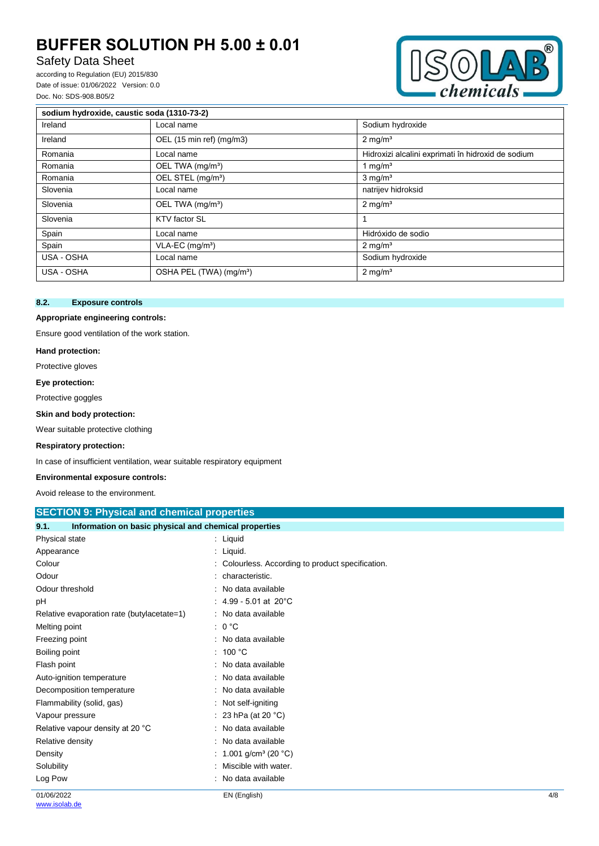# Safety Data Sheet

according to Regulation (EU) 2015/830 Date of issue: 01/06/2022 Version: 0.0 Doc. No: SDS-908.B05/2



| sodium hydroxide, caustic soda (1310-73-2) |                                     |                                                    |  |  |
|--------------------------------------------|-------------------------------------|----------------------------------------------------|--|--|
| Ireland                                    | Local name                          | Sodium hydroxide                                   |  |  |
| Ireland                                    | OEL (15 min ref) (mg/m3)            | $2 \text{ mg/m}^3$                                 |  |  |
| Romania                                    | Local name                          | Hidroxizi alcalini exprimati în hidroxid de sodium |  |  |
| Romania                                    | OEL TWA (mg/m <sup>3</sup> )        | 1 mg/ $m3$                                         |  |  |
| Romania                                    | OEL STEL (mg/m <sup>3</sup> )       | $3 \text{ mg/m}^3$                                 |  |  |
| Slovenia                                   | Local name                          | natrijev hidroksid                                 |  |  |
| Slovenia                                   | OEL TWA (mg/m <sup>3</sup> )        | $2 \text{ mg/m}^3$                                 |  |  |
| Slovenia                                   | KTV factor SL                       |                                                    |  |  |
| Spain                                      | Local name                          | Hidróxido de sodio                                 |  |  |
| Spain                                      | $VLA-EC$ (mg/m <sup>3</sup> )       | $2 \text{ mg/m}^3$                                 |  |  |
| USA - OSHA                                 | Local name                          | Sodium hydroxide                                   |  |  |
| USA - OSHA                                 | OSHA PEL (TWA) (mg/m <sup>3</sup> ) | $2 \text{ mg/m}^3$                                 |  |  |

## **8.2. Exposure controls**

#### **Appropriate engineering controls:**

Ensure good ventilation of the work station.

#### **Hand protection:**

Protective gloves

**Eye protection:**

Protective goggles

#### **Skin and body protection:**

Wear suitable protective clothing

#### **Respiratory protection:**

In case of insufficient ventilation, wear suitable respiratory equipment

#### **Environmental exposure controls:**

Avoid release to the environment.

| <b>SECTION 9: Physical and chemical properties</b>            |                                                 |     |
|---------------------------------------------------------------|-------------------------------------------------|-----|
| Information on basic physical and chemical properties<br>9.1. |                                                 |     |
| Physical state                                                | : Liquid                                        |     |
| Appearance                                                    | : Liquid.                                       |     |
| Colour                                                        | Colourless. According to product specification. |     |
| Odour                                                         | characteristic.                                 |     |
| Odour threshold                                               | No data available                               |     |
| рH                                                            | 4.99 - 5.01 at 20°C                             |     |
| Relative evaporation rate (butylacetate=1)                    | : No data available                             |     |
| Melting point                                                 | $: 0^{\circ}C$                                  |     |
| Freezing point                                                | No data available<br>٠.                         |     |
| Boiling point                                                 | : $100 °C$                                      |     |
| Flash point                                                   | : No data available                             |     |
| Auto-ignition temperature                                     | : No data available                             |     |
| Decomposition temperature                                     | : No data available                             |     |
| Flammability (solid, gas)                                     | : Not self-igniting                             |     |
| Vapour pressure                                               | : 23 hPa (at 20 $^{\circ}$ C)                   |     |
| Relative vapour density at 20 °C                              | No data available                               |     |
| Relative density                                              | No data available                               |     |
| Density                                                       | 1.001 g/cm <sup>3</sup> (20 $°C$ )              |     |
| Solubility                                                    | Miscible with water.                            |     |
| Log Pow                                                       | No data available                               |     |
| 01/06/2022                                                    | EN (English)                                    | 4/8 |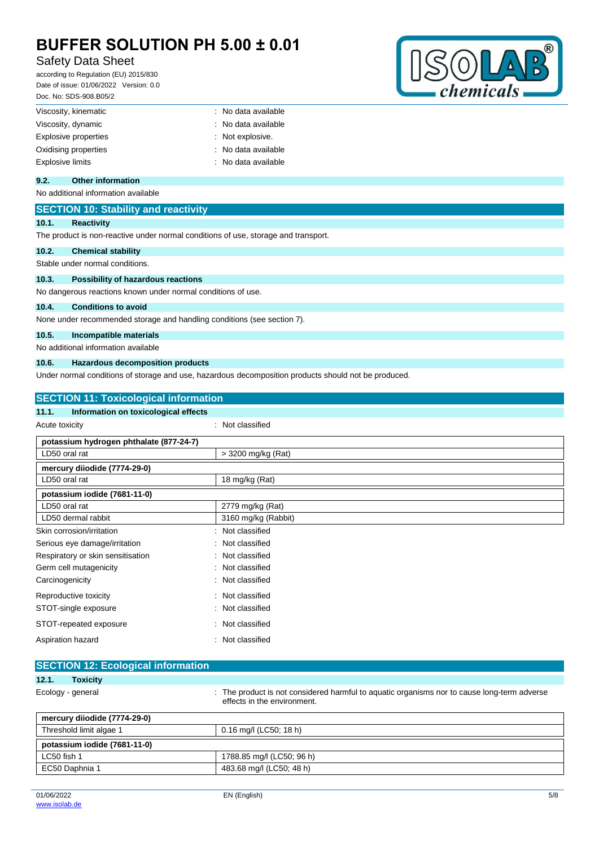# Safety Data Sheet

according to Regulation (EU) 2015/830 Date of issue: 01/06/2022 Version: 0.0 Doc. No: SDS-908.B05/2



| : No data available |
|---------------------|
| : No data available |
| : Not explosive.    |
| : No data available |
| : No data available |
|                     |

### **9.2. Other information**

No additional information available

## **SECTION 10: Stability and reactivity**

### **10.1. Reactivity**

The product is non-reactive under normal conditions of use, storage and transport.

#### **10.2. Chemical stability**

Stable under normal conditions.

#### **10.3. Possibility of hazardous reactions**

No dangerous reactions known under normal conditions of use.

#### **10.4. Conditions to avoid**

None under recommended storage and handling conditions (see section 7).

## **10.5. Incompatible materials**

No additional information available

#### **10.6. Hazardous decomposition products**

Under normal conditions of storage and use, hazardous decomposition products should not be produced.

| <b>SECTION 11: Toxicological information</b>  |                     |  |
|-----------------------------------------------|---------------------|--|
| Information on toxicological effects<br>11.1. |                     |  |
| Acute toxicity                                | : Not classified    |  |
| potassium hydrogen phthalate (877-24-7)       |                     |  |
| LD50 oral rat                                 | > 3200 mg/kg (Rat)  |  |
| mercury diiodide (7774-29-0)                  |                     |  |
| LD50 oral rat                                 | 18 mg/kg (Rat)      |  |
| potassium iodide (7681-11-0)                  |                     |  |
| LD50 oral rat                                 | 2779 mg/kg (Rat)    |  |
| LD50 dermal rabbit                            | 3160 mg/kg (Rabbit) |  |
| Skin corrosion/irritation                     | Not classified      |  |
| Serious eye damage/irritation                 | Not classified      |  |
| Respiratory or skin sensitisation             | Not classified<br>÷ |  |
| Germ cell mutagenicity                        | Not classified<br>÷ |  |
| Carcinogenicity                               | Not classified      |  |
| Reproductive toxicity                         | Not classified<br>÷ |  |
| STOT-single exposure                          | Not classified      |  |
| STOT-repeated exposure                        | Not classified      |  |
| Aspiration hazard                             | Not classified      |  |

|                   | <b>SECTION 12: Ecological information</b> |  |                                                                                                                          |  |
|-------------------|-------------------------------------------|--|--------------------------------------------------------------------------------------------------------------------------|--|
| 12.1.             | Toxicity                                  |  |                                                                                                                          |  |
| Ecology - general |                                           |  | The product is not considered harmful to aquatic organisms nor to cause long-term adverse<br>effects in the environment. |  |

| mercury diiodide (7774-29-0) |                           |  |
|------------------------------|---------------------------|--|
| Threshold limit algae 1      | 0.16 mg/l (LC50; 18 h)    |  |
| potassium iodide (7681-11-0) |                           |  |
| LC50 fish 1                  | 1788.85 mg/l (LC50; 96 h) |  |
| EC50 Daphnia 1               | 483.68 mg/l (LC50; 48 h)  |  |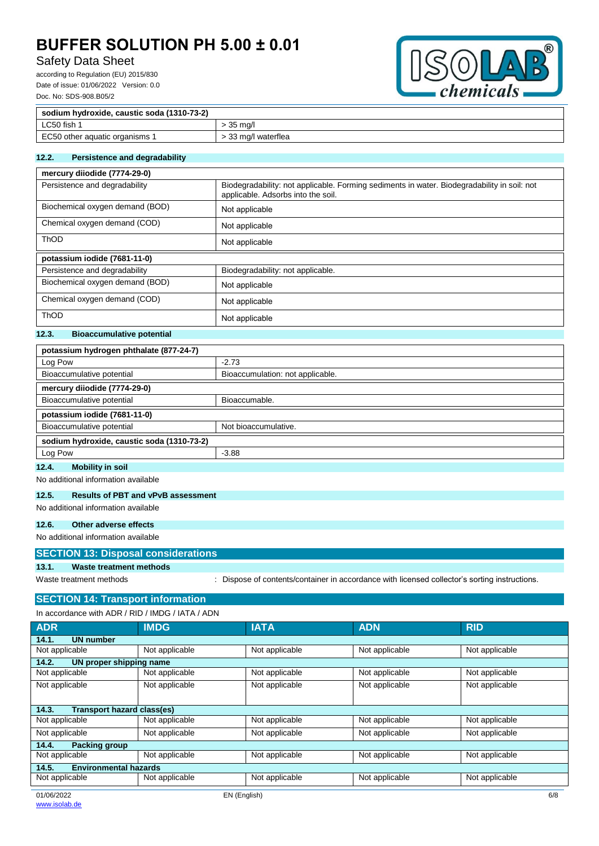# Safety Data Sheet

according to Regulation (EU) 2015/830 Date of issue: 01/06/2022 Version: 0.0 Doc. No: SDS-908.B05/2



| sodium hydroxide, caustic soda (1310-73-2) |                     |
|--------------------------------------------|---------------------|
| LC50 fish                                  | 35 ma/l             |
| EC50 other aquatic organisms 1             | - 33 mg/l waterflea |

#### **12.2. Persistence and degradability**

| mercury diiodide (7774-29-0)    |                                                                                                                                   |  |
|---------------------------------|-----------------------------------------------------------------------------------------------------------------------------------|--|
| Persistence and degradability   | Biodegradability: not applicable. Forming sediments in water. Biodegradability in soil: not<br>applicable. Adsorbs into the soil. |  |
| Biochemical oxygen demand (BOD) | Not applicable                                                                                                                    |  |
| Chemical oxygen demand (COD)    | Not applicable                                                                                                                    |  |
| <b>ThOD</b>                     | Not applicable                                                                                                                    |  |
| potassium iodide (7681-11-0)    |                                                                                                                                   |  |
| Persistence and degradability   | Biodegradability: not applicable.                                                                                                 |  |
| Biochemical oxygen demand (BOD) | Not applicable                                                                                                                    |  |
| Chemical oxygen demand (COD)    | Not applicable                                                                                                                    |  |
| <b>ThOD</b>                     | Not applicable                                                                                                                    |  |

## **12.3. Bioaccumulative potential**

| potassium hydrogen phthalate (877-24-7)      |                                  |  |
|----------------------------------------------|----------------------------------|--|
| Log Pow                                      | $-2.73$                          |  |
| Bioaccumulative potential                    | Bioaccumulation: not applicable. |  |
| mercury diiodide (7774-29-0)                 |                                  |  |
| Bioaccumulative potential                    | Bioaccumable.                    |  |
| potassium iodide (7681-11-0)                 |                                  |  |
| Bioaccumulative potential                    | Not bioaccumulative.             |  |
| sodium hydroxide, caustic soda (1310-73-2)   |                                  |  |
| Log Pow                                      | $-3.88$                          |  |
| <b>BRAILISMA CALLACTE</b><br>$\overline{AB}$ |                                  |  |

#### **12.4. Mobility in soil**

No additional information available

#### **12.5. Results of PBT and vPvB assessment**

No additional information available

## **12.6. Other adverse effects**

No additional information available

|  | <b>SECTION 13: Disposal considerations</b> |
|--|--------------------------------------------|
|  |                                            |

### **13.1. Waste treatment methods**

Waste treatment methods : Dispose of contents/container in accordance with licensed collector's sorting instructions.

# **SECTION 14: Transport information**

| In accordance with ADR / RID / IMDG / IATA / ADN |                |                |                |                |
|--------------------------------------------------|----------------|----------------|----------------|----------------|
| <b>ADR</b>                                       | <b>IMDG</b>    | <b>IATA</b>    | <b>ADN</b>     | <b>RID</b>     |
| <b>UN number</b><br>14.1.                        |                |                |                |                |
| Not applicable                                   | Not applicable | Not applicable | Not applicable | Not applicable |
| 14.2.<br>UN proper shipping name                 |                |                |                |                |
| Not applicable                                   | Not applicable | Not applicable | Not applicable | Not applicable |
| Not applicable                                   | Not applicable | Not applicable | Not applicable | Not applicable |
|                                                  |                |                |                |                |
| <b>Transport hazard class(es)</b><br>14.3.       |                |                |                |                |
| Not applicable                                   | Not applicable | Not applicable | Not applicable | Not applicable |
| Not applicable                                   | Not applicable | Not applicable | Not applicable | Not applicable |
| 14.4.<br>Packing group                           |                |                |                |                |
| Not applicable                                   | Not applicable | Not applicable | Not applicable | Not applicable |
| <b>Environmental hazards</b><br>14.5.            |                |                |                |                |
| Not applicable                                   | Not applicable | Not applicable | Not applicable | Not applicable |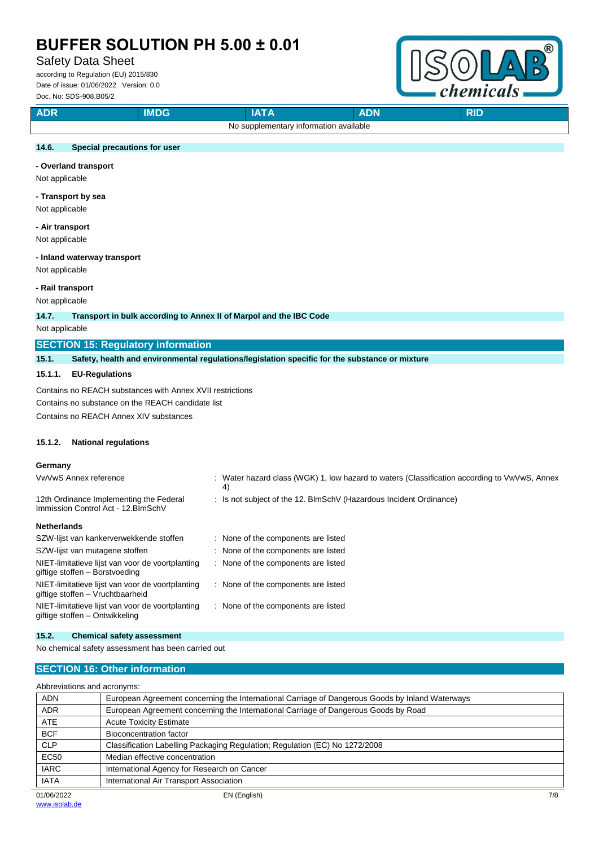# Safety Data Sheet

according to Regulation (EU) 2015/830 Date of issue: 01/06/2022 Version: 0.0 Doc. No: SDS-908.B05/2



| <b>ADR</b>                             |  | 10 L D |  | <b>DIE</b><br>KI. |
|----------------------------------------|--|--------|--|-------------------|
| No supplementary information available |  |        |  |                   |

### **14.6. Special precautions for user**

#### **- Overland transport**

Not applicable

#### **- Transport by sea**

Not applicable

#### **- Air transport** Not applicable

### **- Inland waterway transport**

Not applicable

#### **- Rail transport**

Not applicable

**14.7. Transport in bulk according to Annex II of Marpol and the IBC Code**

Not applicable

#### **SECTION 15: Regulatory information**

**15.1. Safety, health and environmental regulations/legislation specific for the substance or mixture**

#### **15.1.1. EU-Regulations**

Contains no REACH substances with Annex XVII restrictions Contains no substance on the REACH candidate list

Contains no REACH Annex XIV substances

#### **15.1.2. National regulations**

#### **Germany**

| VwVwS Annex reference                                                                | : Water hazard class (WGK) 1, low hazard to waters (Classification according to VwVwS, Annex<br>4) |
|--------------------------------------------------------------------------------------|----------------------------------------------------------------------------------------------------|
| 12th Ordinance Implementing the Federal<br>Immission Control Act - 12. BlmSchV       | : Is not subject of the 12. BlmSchV (Hazardous Incident Ordinance)                                 |
| <b>Netherlands</b>                                                                   |                                                                                                    |
| SZW-lijst van kankerverwekkende stoffen                                              | : None of the components are listed                                                                |
| SZW-lijst van mutagene stoffen                                                       | : None of the components are listed                                                                |
| NIET-limitatieve lijst van voor de voortplanting<br>giftige stoffen - Borstvoeding   | None of the components are listed                                                                  |
| NIET-limitatieve lijst van voor de voortplanting<br>giftige stoffen - Vruchtbaarheid | None of the components are listed                                                                  |
| NIET-limitatieve lijst van voor de voortplanting<br>giftige stoffen – Ontwikkeling   | None of the components are listed                                                                  |

#### **15.2. Chemical safety assessment**

No chemical safety assessment has been carried out

#### **SECTION 16: Other information**

| Abbreviations and acronyms: |                                                                                                 |  |
|-----------------------------|-------------------------------------------------------------------------------------------------|--|
| <b>ADN</b>                  | European Agreement concerning the International Carriage of Dangerous Goods by Inland Waterways |  |
| <b>ADR</b>                  | European Agreement concerning the International Carriage of Dangerous Goods by Road             |  |
| <b>ATE</b>                  | <b>Acute Toxicity Estimate</b>                                                                  |  |
| <b>BCF</b>                  | Bioconcentration factor                                                                         |  |
| <b>CLP</b>                  | Classification Labelling Packaging Regulation; Regulation (EC) No 1272/2008                     |  |
| <b>EC50</b>                 | Median effective concentration                                                                  |  |
| <b>IARC</b>                 | International Agency for Research on Cancer                                                     |  |
| <b>IATA</b>                 | International Air Transport Association                                                         |  |